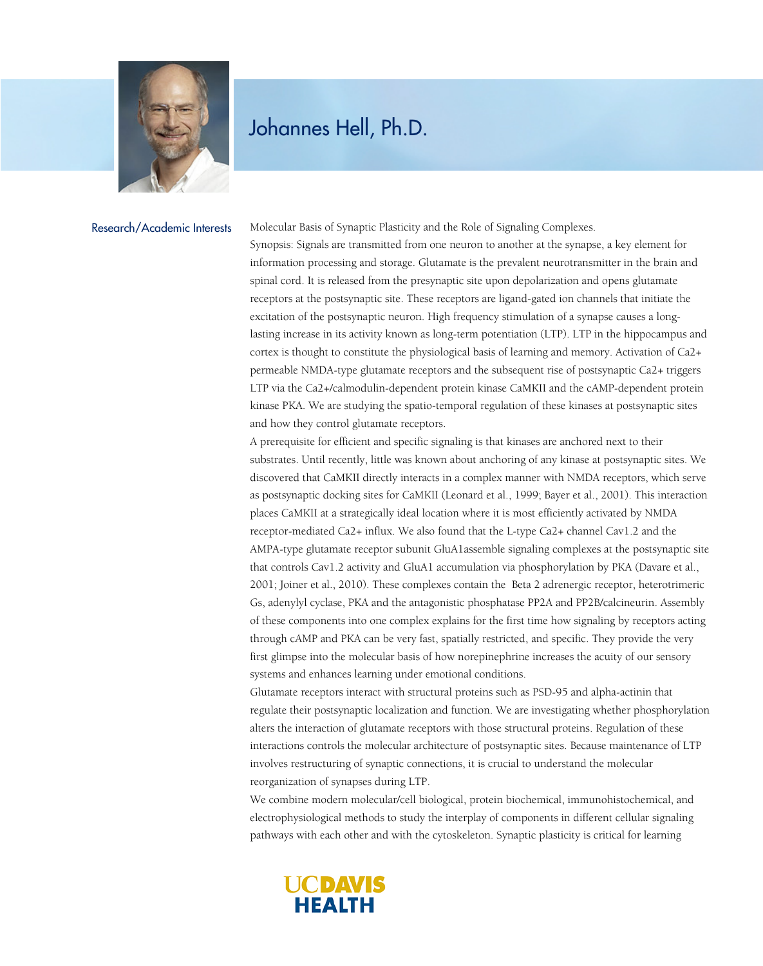

## Johannes Hell, Ph.D.

Research/Academic Interests

Molecular Basis of Synaptic Plasticity and the Role of Signaling Complexes.

Synopsis: Signals are transmitted from one neuron to another at the synapse, a key element for information processing and storage. Glutamate is the prevalent neurotransmitter in the brain and spinal cord. It is released from the presynaptic site upon depolarization and opens glutamate receptors at the postsynaptic site. These receptors are ligand-gated ion channels that initiate the excitation of the postsynaptic neuron. High frequency stimulation of a synapse causes a longlasting increase in its activity known as long-term potentiation (LTP). LTP in the hippocampus and cortex is thought to constitute the physiological basis of learning and memory. Activation of Ca2+ permeable NMDA-type glutamate receptors and the subsequent rise of postsynaptic Ca2+ triggers LTP via the Ca2+/calmodulin-dependent protein kinase CaMKII and the cAMP-dependent protein kinase PKA. We are studying the spatio-temporal regulation of these kinases at postsynaptic sites and how they control glutamate receptors.

A prerequisite for efficient and specific signaling is that kinases are anchored next to their substrates. Until recently, little was known about anchoring of any kinase at postsynaptic sites. We discovered that CaMKII directly interacts in a complex manner with NMDA receptors, which serve as postsynaptic docking sites for CaMKII (Leonard et al., 1999; Bayer et al., 2001). This interaction places CaMKII at a strategically ideal location where it is most efficiently activated by NMDA receptor-mediated Ca2+ influx. We also found that the L-type Ca2+ channel Cav1.2 and the AMPA-type glutamate receptor subunit GluA1assemble signaling complexes at the postsynaptic site that controls Cav1.2 activity and GluA1 accumulation via phosphorylation by PKA (Davare et al., 2001; Joiner et al., 2010). These complexes contain the Beta 2 adrenergic receptor, heterotrimeric Gs, adenylyl cyclase, PKA and the antagonistic phosphatase PP2A and PP2B/calcineurin. Assembly of these components into one complex explains for the first time how signaling by receptors acting through cAMP and PKA can be very fast, spatially restricted, and specific. They provide the very first glimpse into the molecular basis of how norepinephrine increases the acuity of our sensory systems and enhances learning under emotional conditions.

Glutamate receptors interact with structural proteins such as PSD-95 and alpha-actinin that regulate their postsynaptic localization and function. We are investigating whether phosphorylation alters the interaction of glutamate receptors with those structural proteins. Regulation of these interactions controls the molecular architecture of postsynaptic sites. Because maintenance of LTP involves restructuring of synaptic connections, it is crucial to understand the molecular reorganization of synapses during LTP.

We combine modern molecular/cell biological, protein biochemical, immunohistochemical, and electrophysiological methods to study the interplay of components in different cellular signaling pathways with each other and with the cytoskeleton. Synaptic plasticity is critical for learning